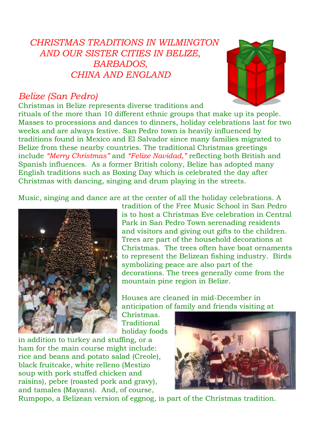# *CHRISTMAS TRADITIONS IN WILMINGTON AND OUR SISTER CITIES IN BELIZE, BARBADOS, CHINA AND ENGLAND*

### *Belize (San Pedro)*



Christmas in Belize represents diverse traditions and rituals of the more than 10 different ethnic groups that make up its people. Masses to processions and dances to dinners, holiday celebrations last for two weeks and are always festive. San Pedro town is heavily influenced by traditions found in Mexico and El Salvador since many families migrated to Belize from these nearby countries. The traditional Christmas greetings include *"Merry Christmas"* and *"Felize Navidad,"* reflecting both British and Spanish influences. As a former British colony, Belize has adopted many English traditions such as Boxing Day which is celebrated the day after Christmas with dancing, singing and drum playing in the streets.

Music, singing and dance are at the center of all the holiday celebrations. A



tradition of the Free Music School in San Pedro is to host a Christmas Eve celebration in Central Park in San Pedro Town serenading residents and visitors and giving out gifts to the children. Trees are part of the household decorations at Christmas. The trees often have boat ornaments to represent the Belizean fishing industry. Birds symbolizing peace are also part of the decorations. The trees generally come from the mountain pine region in Belize.

Houses are cleaned in mid-December in anticipation of family and friends visiting at

Christmas. **Traditional** holiday foods

in addition to turkey and stuffing, or a ham for the main course might include: rice and beans and potato salad (Creole), black fruitcake, white relleno (Mestizo soup with pork stuffed chicken and raisins), pebre (roasted pork and gravy), and tamales (Mayans). And, of course,



Rumpopo, a Belizean version of eggnog, is part of the Christmas tradition.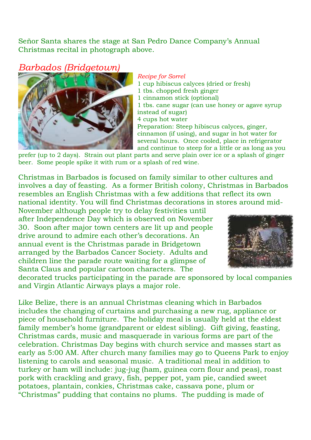Señor Santa shares the stage at San Pedro Dance Company's Annual Christmas recital in photograph above.

#### *Barbados (Bridgetown)*



#### *Recipe for Sorrel*

1 cup hibiscus calyces (dried or fresh) 1 tbs. chopped fresh ginger 1 cinnamon stick (optional) 1 tbs. cane sugar (can use honey or agave syrup instead of sugar) 4 cups hot water Preparation: Steep hibiscus calyces, ginger, cinnamon (if using), and sugar in hot water for several hours. Once cooled, place in refrigerator and continue to steep for a little or as long as you

prefer (up to 2 days). Strain out plant parts and serve plain over ice or a splash of ginger beer. Some people spike it with rum or a splash of red wine.

Christmas in Barbados is focused on family similar to other cultures and involves a day of feasting. As a former British colony, Christmas in Barbados resembles an English Christmas with a few additions that reflect its own national identity. You will find Christmas decorations in stores around mid-

November although people try to delay festivities until after Independence Day which is observed on November 30. Soon after major town centers are lit up and people drive around to admire each other's decorations. An annual event is the Christmas parade in Bridgetown arranged by the Barbados Cancer Society. Adults and children line the parade route waiting for a glimpse of Santa Claus and popular cartoon characters. The



decorated trucks participating in the parade are sponsored by local companies and Virgin Atlantic Airways plays a major role.

Like Belize, there is an annual Christmas cleaning which in Barbados includes the changing of curtains and purchasing a new rug, appliance or piece of household furniture. The holiday meal is usually held at the eldest family member's home (grandparent or eldest sibling). Gift giving, feasting, Christmas cards, music and masquerade in various forms are part of the celebration. Christmas Day begins with church service and masses start as early as 5:00 AM. After church many families may go to Queens Park to enjoy listening to carols and seasonal music. A traditional meal in addition to turkey or ham will include: jug-jug (ham, guinea corn flour and peas), roast pork with crackling and gravy, fish, pepper pot, yam pie, candied sweet potatoes, plantain, conkies, Christmas cake, cassava pone, plum or "Christmas" pudding that contains no plums. The pudding is made of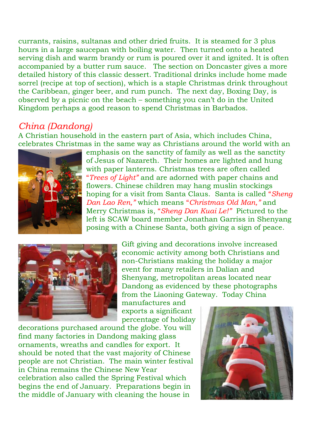currants, raisins, sultanas and other dried fruits. It is steamed for 3 plus hours in a large saucepan with boiling water. Then turned onto a heated serving dish and warm brandy or rum is poured over it and ignited. It is often accompanied by a butter rum sauce. The section on Doncaster gives a more detailed history of this classic dessert. Traditional drinks include home made sorrel (recipe at top of section), which is a staple Christmas drink throughout the Caribbean, ginger beer, and rum punch. The next day, Boxing Day, is observed by a picnic on the beach – something you can't do in the United Kingdom perhaps a good reason to spend Christmas in Barbados.

### *China (Dandong)*

A Christian household in the eastern part of Asia, which includes China, celebrates Christmas in the same way as Christians around the world with an



emphasis on the sanctity of family as well as the sanctity of Jesus of Nazareth. Their homes are lighted and hung with paper lanterns. Christmas trees are often called "*Trees of Light"* and are adorned with paper chains and flowers. Chinese children may hang muslin stockings hoping for a visit from Santa Claus. Santa is called "*Sheng Dan Lao Ren,"* which means "*Christmas Old Man,"* and Merry Christmas is, "*Sheng Dan Kuai Le!"* Pictured to the left is SCAW board member Jonathan Garriss in Shenyang posing with a Chinese Santa, both giving a sign of peace.



Gift giving and decorations involve increased economic activity among both Christians and non-Christians making the holiday a major event for many retailers in Dalian and Shenyang, metropolitan areas located near Dandong as evidenced by these photographs from the Liaoning Gateway. Today China

manufactures and exports a significant percentage of holiday

decorations purchased around the globe. You will find many factories in Dandong making glass ornaments, wreaths and candles for export. It should be noted that the vast majority of Chinese people are not Christian. The main winter festival in China remains the Chinese New Year celebration also called the Spring Festival which begins the end of January. Preparations begin in the middle of January with cleaning the house in

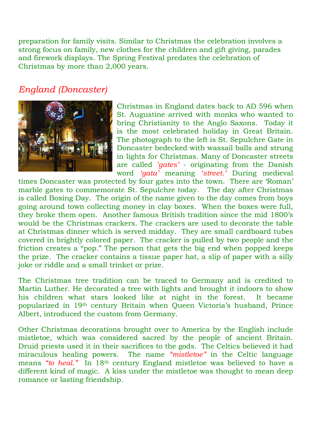preparation for family visits. Similar to Christmas the celebration involves a strong focus on family, new clothes for the children and gift giving, parades and firework displays. The Spring Festival predates the celebration of Christmas by more than 2,000 years.

# *England (Doncaster)*



Christmas in England dates back to AD 596 when St. Augustine arrived with monks who wanted to bring Christianity to the Anglo Saxons. Today it is the most celebrated holiday in Great Britain. The photograph to the left is St. Sepulchre Gate in Doncaster bedecked with wassail balls and strung in lights for Christmas. Many of Doncaster streets are called *'gates'* - originating from the Danish word *'gata'* meaning *'street.'* During medieval

times Doncaster was protected by four gates into the town. There are 'Roman' marble gates to commemorate St. Sepulchre today. The day after Christmas is called Boxing Day. The origin of the name given to the day comes from boys going around town collecting money in clay boxes. When the boxes were full, they broke them open. Another famous British tradition since the mid 1800's would be the Christmas crackers. The crackers are used to decorate the table at Christmas dinner which is served midday. They are small cardboard tubes covered in brightly colored paper. The cracker is pulled by two people and the friction creates a "pop." The person that gets the big end when popped keeps the prize. The cracker contains a tissue paper hat, a slip of paper with a silly joke or riddle and a small trinket or prize.

The Christmas tree tradition can be traced to Germany and is credited to Martin Luther. He decorated a tree with lights and brought it indoors to show his children what stars looked like at night in the forest. It became popularized in 19th century Britain when Queen Victoria's husband, Prince Albert, introduced the custom from Germany.

Other Christmas decorations brought over to America by the English include mistletoe, which was considered sacred by the people of ancient Britain. Druid priests used it in their sacrifices to the gods. The Celtics believed it had miraculous healing powers. The name *"mistletoe"* in the Celtic language means "to heal." In 18<sup>th</sup> century England mistletoe was believed to have a different kind of magic. A kiss under the mistletoe was thought to mean deep romance or lasting friendship.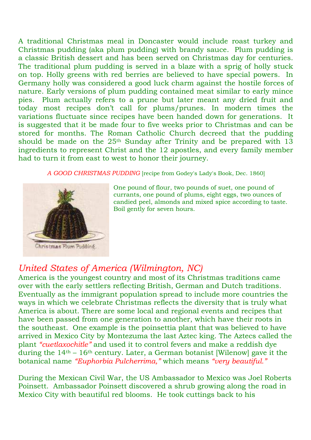A traditional Christmas meal in Doncaster would include roast turkey and Christmas pudding (aka plum pudding) with brandy sauce. Plum pudding is a classic British dessert and has been served on Christmas day for centuries. The traditional plum pudding is served in a blaze with a sprig of holly stuck on top. Holly greens with red berries are believed to have special powers. In Germany holly was considered a good luck charm against the hostile forces of nature. Early versions of plum pudding contained meat similar to early mince pies. Plum actually refers to a prune but later meant any dried fruit and today most recipes don't call for plums/prunes. In modern times the variations fluctuate since recipes have been handed down for generations. It is suggested that it be made four to five weeks prior to Christmas and can be stored for months. The Roman Catholic Church decreed that the pudding should be made on the  $25<sup>th</sup>$  Sunday after Trinity and be prepared with 13 ingredients to represent Christ and the 12 apostles, and every family member had to turn it from east to west to honor their journey.

*A GOOD CHRISTMAS PUDDING* [recipe from Godey's Lady's Book, Dec. 1860]



Christmas Flum Puddiné

One pound of flour, two pounds of suet, one pound of currants, one pound of plums, eight eggs, two ounces of candied peel, almonds and mixed spice according to taste. Boil gently for seven hours.

# *United States of America (Wilmington, NC)*

America is the youngest country and most of its Christmas traditions came over with the early settlers reflecting British, German and Dutch traditions. Eventually as the immigrant population spread to include more countries the ways in which we celebrate Christmas reflects the diversity that is truly what America is about. There are some local and regional events and recipes that have been passed from one generation to another, which have their roots in the southeast. One example is the poinsettia plant that was believed to have arrived in Mexico City by Montezuma the last Aztec king. The Aztecs called the plant *"cuetlaxochitle"* and used it to control fevers and make a reddish dye during the  $14<sup>th</sup> - 16<sup>th</sup>$  century. Later, a German botanist [Wilenow] gave it the botanical name *"Euphorbia Pulcherrima,"* which means *"very beautiful."*

During the Mexican Civil War, the US Ambassador to Mexico was Joel Roberts Poinsett. Ambassador Poinsett discovered a shrub growing along the road in Mexico City with beautiful red blooms. He took cuttings back to his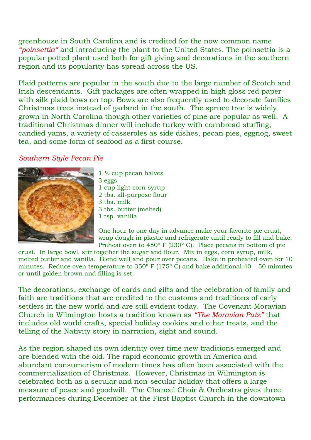greenhouse in South Carolina and is credited for the now common name *"poinsettia"* and introducing the plant to the United States. The poinsettia is a popular potted plant used both for gift giving and decorations in the southern region and its popularity has spread across the US.

Plaid patterns are popular in the south due to the large number of Scotch and Irish descendants. Gift packages are often wrapped in high gloss red paper with silk plaid bows on top. Bows are also frequently used to decorate families Christmas trees instead of garland in the south. The spruce tree is widely grown in North Carolina though other varieties of pine are popular as well. A traditional Christmas dinner will include turkey with cornbread stuffing, candied yams, a variety of casseroles as side dishes, pecan pies, eggnog, sweet tea, and some form of seafood as a first course.

#### *Southern Style Pecan Pie*



- $1\frac{1}{2}$  cup pecan halves 3 eggs 1 cup light corn syrup 2 tbs. all-purpose flour 3 tbs. milk 3 tbs. butter (melted)
- 1 tsp. vanilla

One hour to one day in advance make your favorite pie crust, wrap dough in plastic and refrigerate until ready to fill and bake. Preheat oven to 450° F (230° C). Place pecans in bottom of pie

crust. In large bowl, stir together the sugar and flour. Mix in eggs, corn syrup, milk, melted butter and vanilla. Blend well and pour over pecans. Bake in preheated oven for 10 minutes. Reduce oven temperature to  $350^{\circ}$  F (175° C) and bake additional 40 – 50 minutes or until golden brown and filling is set.

The decorations, exchange of cards and gifts and the celebration of family and faith are traditions that are credited to the customs and traditions of early settlers in the new world and are still evident today. The Covenant Moravian Church in Wilmington hosts a tradition known as *"The Moravian Putz"* that includes old world crafts, special holiday cookies and other treats, and the telling of the Nativity story in narration, sight and sound.

As the region shaped its own identity over time new traditions emerged and are blended with the old. The rapid economic growth in America and abundant consumerism of modern times has often been associated with the commercialization of Christmas. However, Christmas in Wilmington is celebrated both as a secular and non-secular holiday that offers a large measure of peace and goodwill. The Chancel Choir & Orchestra gives three performances during December at the First Baptist Church in the downtown